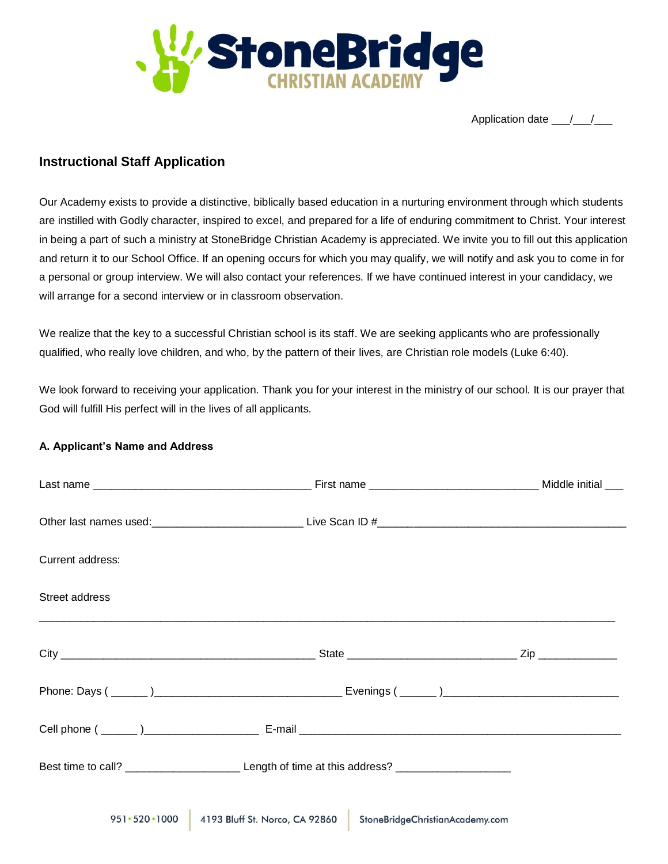

Application date  $\frac{1}{2}$ 

# **Instructional Staff Application**

Our Academy exists to provide a distinctive, biblically based education in a nurturing environment through which students are instilled with Godly character, inspired to excel, and prepared for a life of enduring commitment to Christ. Your interest in being a part of such a ministry at StoneBridge Christian Academy is appreciated. We invite you to fill out this application and return it to our School Office. If an opening occurs for which you may qualify, we will notify and ask you to come in for a personal or group interview. We will also contact your references. If we have continued interest in your candidacy, we will arrange for a second interview or in classroom observation.

We realize that the key to a successful Christian school is its staff. We are seeking applicants who are professionally qualified, who really love children, and who, by the pattern of their lives, are Christian role models (Luke 6:40).

We look forward to receiving your application. Thank you for your interest in the ministry of our school. It is our prayer that God will fulfill His perfect will in the lives of all applicants.

## **A. Applicant's Name and Address**

| Current address: |                                                                                                     |  |
|------------------|-----------------------------------------------------------------------------------------------------|--|
| Street address   |                                                                                                     |  |
|                  |                                                                                                     |  |
|                  |                                                                                                     |  |
|                  |                                                                                                     |  |
|                  | Best time to call? ____________________________Length of time at this address? ____________________ |  |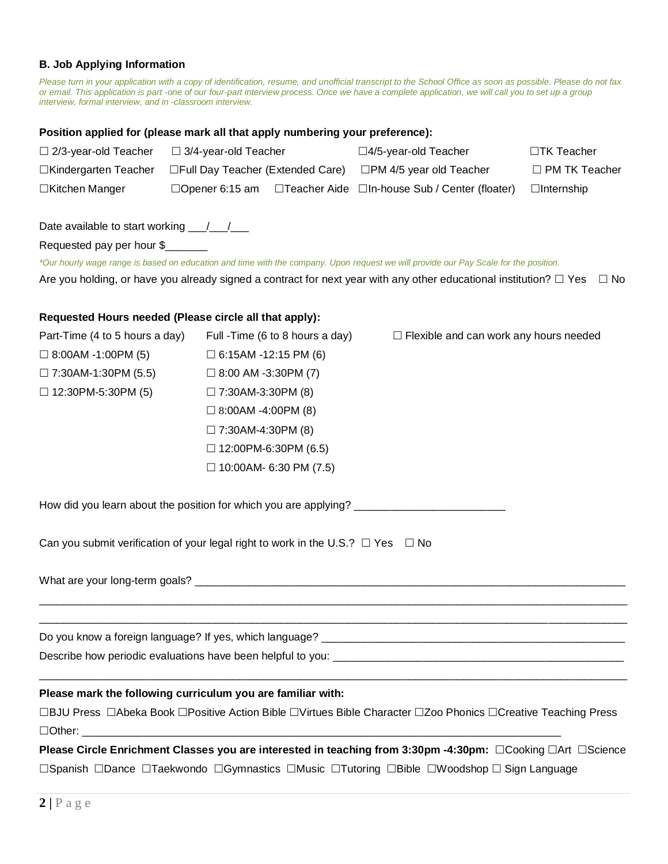## **B. Job Applying Information**

*Please turn in your application with a copy of identification, resume, and unofficial transcript to the School Office as soon as possible. Please do not fax or email. This application is part -one of our four-part interview process. Once we have a complete application, we will call you to set up a group interview, formal interview, and in -classroom interview.* 

#### **Position applied for (please mark all that apply numbering your preference):**

| Position applied for (please mark all that apply numbering your preference):              |                             |                                  |                                                                                                                                      |                   |
|-------------------------------------------------------------------------------------------|-----------------------------|----------------------------------|--------------------------------------------------------------------------------------------------------------------------------------|-------------------|
| $\Box$ 2/3-year-old Teacher                                                               | $\Box$ 3/4-year-old Teacher |                                  | □4/5-year-old Teacher                                                                                                                | □TK Teacher       |
| □Kindergarten Teacher                                                                     |                             |                                  | □Full Day Teacher (Extended Care) □PM 4/5 year old Teacher                                                                           | □ PM TK Teacher   |
| □Kitchen Manger                                                                           |                             |                                  | □Opener 6:15 am □Teacher Aide □In-house Sub / Center (floater)                                                                       | $\Box$ Internship |
| Date available to start working __/__/__                                                  |                             |                                  |                                                                                                                                      |                   |
| Requested pay per hour \$                                                                 |                             |                                  |                                                                                                                                      |                   |
|                                                                                           |                             |                                  | *Our hourly wage range is based on education and time with the company. Upon request we will provide our Pay Scale for the position. |                   |
|                                                                                           |                             |                                  | Are you holding, or have you already signed a contract for next year with any other educational institution? $\Box$ Yes $\Box$ No    |                   |
| Requested Hours needed (Please circle all that apply):                                    |                             |                                  |                                                                                                                                      |                   |
| Part-Time (4 to 5 hours a day)                                                            |                             | Full - Time (6 to 8 hours a day) | $\Box$ Flexible and can work any hours needed                                                                                        |                   |
| $\Box$ 8:00AM -1:00PM (5)                                                                 | $\Box$ 6:15AM -12:15 PM (6) |                                  |                                                                                                                                      |                   |
| $\Box$ 7:30AM-1:30PM (5.5)                                                                | $\Box$ 8:00 AM -3:30PM (7)  |                                  |                                                                                                                                      |                   |
| $\Box$ 12:30PM-5:30PM (5)                                                                 | $\Box$ 7:30AM-3:30PM (8)    |                                  |                                                                                                                                      |                   |
|                                                                                           | $\Box$ 8:00AM -4:00PM (8)   |                                  |                                                                                                                                      |                   |
|                                                                                           | $\Box$ 7:30AM-4:30PM (8)    |                                  |                                                                                                                                      |                   |
|                                                                                           |                             | $\Box$ 12:00PM-6:30PM (6.5)      |                                                                                                                                      |                   |
|                                                                                           |                             | $\Box$ 10:00AM- 6:30 PM (7.5)    |                                                                                                                                      |                   |
|                                                                                           |                             |                                  | How did you learn about the position for which you are applying? ___________________________________                                 |                   |
| Can you submit verification of your legal right to work in the U.S.? $\Box$ Yes $\Box$ No |                             |                                  |                                                                                                                                      |                   |
|                                                                                           |                             |                                  |                                                                                                                                      |                   |
|                                                                                           |                             |                                  |                                                                                                                                      |                   |
|                                                                                           |                             |                                  |                                                                                                                                      |                   |
| Please mark the following curriculum you are familiar with:                               |                             |                                  |                                                                                                                                      |                   |
| $\Box$ Other:                                                                             |                             |                                  | □BJU Press □Abeka Book □Positive Action Bible □Virtues Bible Character □Zoo Phonics □Creative Teaching Press                         |                   |
|                                                                                           |                             |                                  | Please Circle Enrichment Classes you are interested in teaching from 3:30pm -4:30pm: □Cooking □Art □Science                          |                   |

□Spanish □Dance □Taekwondo □Gymnastics □Music □Tutoring □Bible □Woodshop □ Sign Language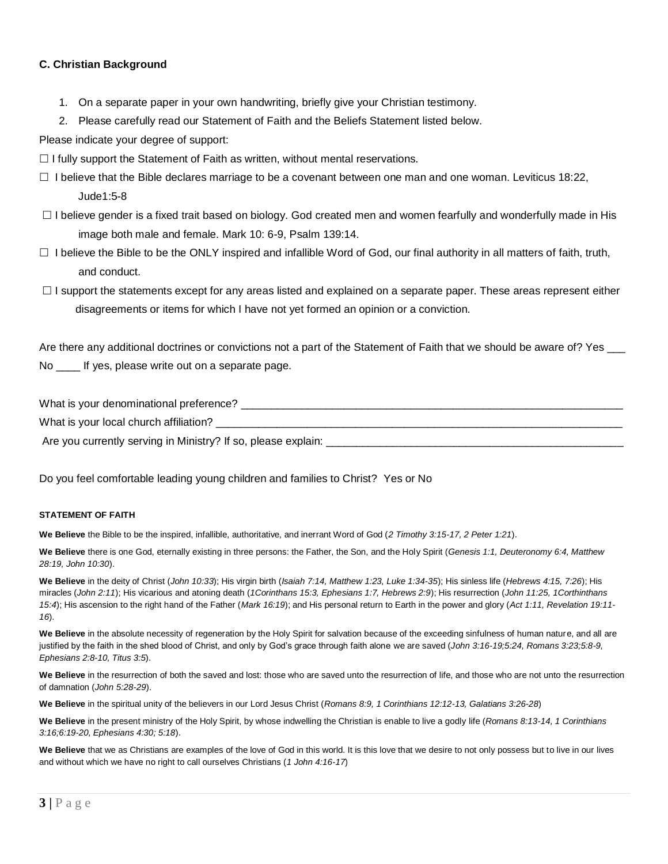## **C. Christian Background**

- 1. On a separate paper in your own handwriting, briefly give your Christian testimony.
- 2. Please carefully read our Statement of Faith and the Beliefs Statement listed below.

Please indicate your degree of support:

 $\Box$  I fully support the Statement of Faith as written, without mental reservations.

- $\Box$  I believe that the Bible declares marriage to be a covenant between one man and one woman. Leviticus 18:22, Jude1:5-8
- $\Box$  I believe gender is a fixed trait based on biology. God created men and women fearfully and wonderfully made in His image both male and female. Mark 10: 6-9, Psalm 139:14.
- $\Box$  I believe the Bible to be the ONLY inspired and infallible Word of God, our final authority in all matters of faith, truth, and conduct.
- $\Box$  I support the statements except for any areas listed and explained on a separate paper. These areas represent either disagreements or items for which I have not yet formed an opinion or a conviction.

Are there any additional doctrines or convictions not a part of the Statement of Faith that we should be aware of? Yes \_\_\_ No \_\_\_\_ If yes, please write out on a separate page.

| What is your denominational preference?                       |
|---------------------------------------------------------------|
| What is your local church affiliation?                        |
| Are you currently serving in Ministry? If so, please explain: |

Do you feel comfortable leading young children and families to Christ? Yes or No

#### **STATEMENT OF FAITH**

**We Believe** the Bible to be the inspired, infallible, authoritative, and inerrant Word of God (*2 Timothy 3:15-17, 2 Peter 1:21*).

**We Believe** there is one God, eternally existing in three persons: the Father, the Son, and the Holy Spirit (*Genesis 1:1, Deuteronomy 6:4, Matthew 28:19, John 10:30*).

**We Believe** in the deity of Christ (*John 10:33*); His virgin birth (*Isaiah 7:14, Matthew 1:23, Luke 1:34-35*); His sinless life (*Hebrews 4:15, 7:26*); His miracles (*John 2:11*); His vicarious and atoning death (*1Corinthans 15:3, Ephesians 1:7, Hebrews 2:9*); His resurrection (*John 11:25, 1Corthinthans 15:4*); His ascension to the right hand of the Father (*Mark 16:19*); and His personal return to Earth in the power and glory (*Act 1:11, Revelation 19:11- 16*).

We Believe in the absolute necessity of regeneration by the Holy Spirit for salvation because of the exceeding sinfulness of human nature, and all are justified by the faith in the shed blood of Christ, and only by God's grace through faith alone we are saved (*John 3:16-19;5:24, Romans 3:23;5:8-9, Ephesians 2:8-10, Titus 3:5*).

**We Believe** in the resurrection of both the saved and lost: those who are saved unto the resurrection of life, and those who are not unto the resurrection of damnation (*John 5:28-29*).

**We Believe** in the spiritual unity of the believers in our Lord Jesus Christ (*Romans 8:9, 1 Corinthians 12:12-13, Galatians 3:26-28*)

**We Believe** in the present ministry of the Holy Spirit, by whose indwelling the Christian is enable to live a godly life (*Romans 8:13-14, 1 Corinthians 3:16;6:19-20, Ephesians 4:30; 5:18*).

We Believe that we as Christians are examples of the love of God in this world. It is this love that we desire to not only possess but to live in our lives and without which we have no right to call ourselves Christians (*1 John 4:16-17*)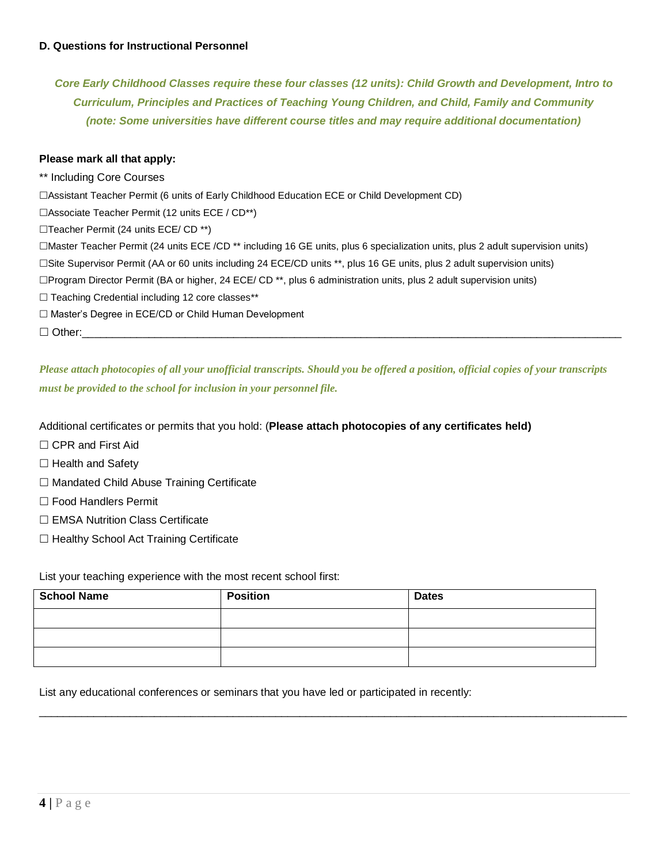*Core Early Childhood Classes require these four classes (12 units): Child Growth and Development, Intro to Curriculum, Principles and Practices of Teaching Young Children, and Child, Family and Community (note: Some universities have different course titles and may require additional documentation)*

### **Please mark all that apply:**

\*\* Including Core Courses Assistant Teacher Permit (6 units of Early Childhood Education ECE or Child Development CD) Associate Teacher Permit (12 units ECE / CD\*\*) □Teacher Permit (24 units ECE/ CD \*\*) Master Teacher Permit (24 units ECE /CD \*\* including 16 GE units, plus 6 specialization units, plus 2 adult supervision units) Site Supervisor Permit (AA or 60 units including 24 ECE/CD units \*\*, plus 16 GE units, plus 2 adult supervision units) Program Director Permit (BA or higher, 24 ECE/ CD \*\*, plus 6 administration units, plus 2 adult supervision units)  $\Box$  Teaching Credential including 12 core classes\*\* □ Master's Degree in ECE/CD or Child Human Development Other:\_\_\_\_\_\_\_\_\_\_\_\_\_\_\_\_\_\_\_\_\_\_\_\_\_\_\_\_\_\_\_\_\_\_\_\_\_\_\_\_\_\_\_\_\_\_\_\_\_\_\_\_\_\_\_\_\_\_\_\_\_\_\_\_\_\_\_\_\_\_\_\_\_\_\_\_\_\_\_\_\_\_\_\_\_\_\_\_\_

*Please attach photocopies of all your unofficial transcripts. Should you be offered a position, official copies of your transcripts must be provided to the school for inclusion in your personnel file.*

Additional certificates or permits that you hold: (**Please attach photocopies of any certificates held)**

- □ CPR and First Aid
- $\Box$  Health and Safety
- $\Box$  Mandated Child Abuse Training Certificate
- □ Food Handlers Permit
- $\Box$  EMSA Nutrition Class Certificate
- $\Box$  Healthy School Act Training Certificate

List your teaching experience with the most recent school first:

| <b>School Name</b> | <b>Position</b> | <b>Dates</b> |
|--------------------|-----------------|--------------|
|                    |                 |              |
|                    |                 |              |
|                    |                 |              |

 $\overline{\phantom{a}}$  , and the contribution of the contribution of the contribution of the contribution of the contribution of the contribution of the contribution of the contribution of the contribution of the contribution of the

List any educational conferences or seminars that you have led or participated in recently: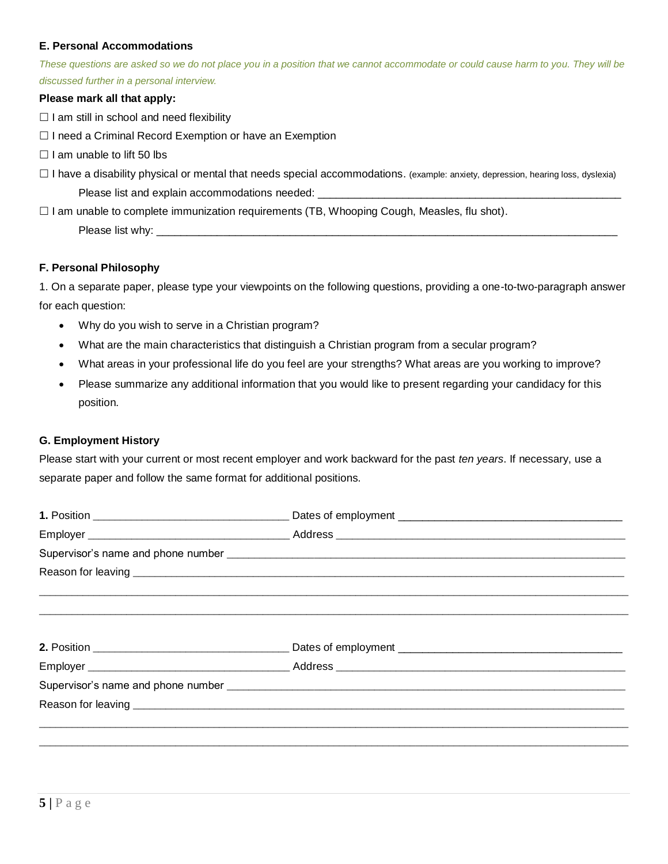## **E. Personal Accommodations**

*These questions are asked so we do not place you in a position that we cannot accommodate or could cause harm to you. They will be discussed further in a personal interview.*

## **Please mark all that apply:**

 $\Box$  I am still in school and need flexibility

- $\Box$  I need a Criminal Record Exemption or have an Exemption
- $\Box$  I am unable to lift 50 lbs
- □ I have a disability physical or mental that needs special accommodations. (example: anxiety, depression, hearing loss, dyslexia) Please list and explain accommodations needed:

 $\Box$  I am unable to complete immunization requirements (TB, Whooping Cough, Measles, flu shot).

Please list why:

## **F. Personal Philosophy**

1. On a separate paper, please type your viewpoints on the following questions, providing a one-to-two-paragraph answer for each question:

- Why do you wish to serve in a Christian program?
- What are the main characteristics that distinguish a Christian program from a secular program?
- What areas in your professional life do you feel are your strengths? What areas are you working to improve?
- Please summarize any additional information that you would like to present regarding your candidacy for this position.

## **G. Employment History**

Please start with your current or most recent employer and work backward for the past *ten years*. If necessary, use a separate paper and follow the same format for additional positions.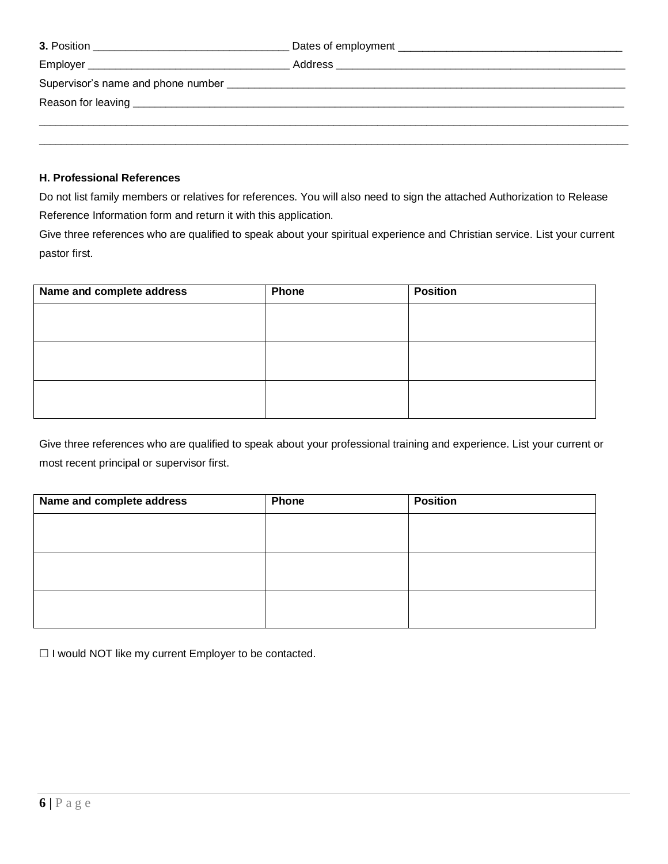## **H. Professional References**

Do not list family members or relatives for references. You will also need to sign the attached Authorization to Release Reference Information form and return it with this application.

Give three references who are qualified to speak about your spiritual experience and Christian service. List your current pastor first.

| Name and complete address | Phone | <b>Position</b> |
|---------------------------|-------|-----------------|
|                           |       |                 |
|                           |       |                 |
|                           |       |                 |
|                           |       |                 |
|                           |       |                 |
|                           |       |                 |

Give three references who are qualified to speak about your professional training and experience. List your current or most recent principal or supervisor first.

| Name and complete address | Phone | <b>Position</b> |
|---------------------------|-------|-----------------|
|                           |       |                 |
|                           |       |                 |
|                           |       |                 |
|                           |       |                 |
|                           |       |                 |
|                           |       |                 |

 $\Box$  I would NOT like my current Employer to be contacted.